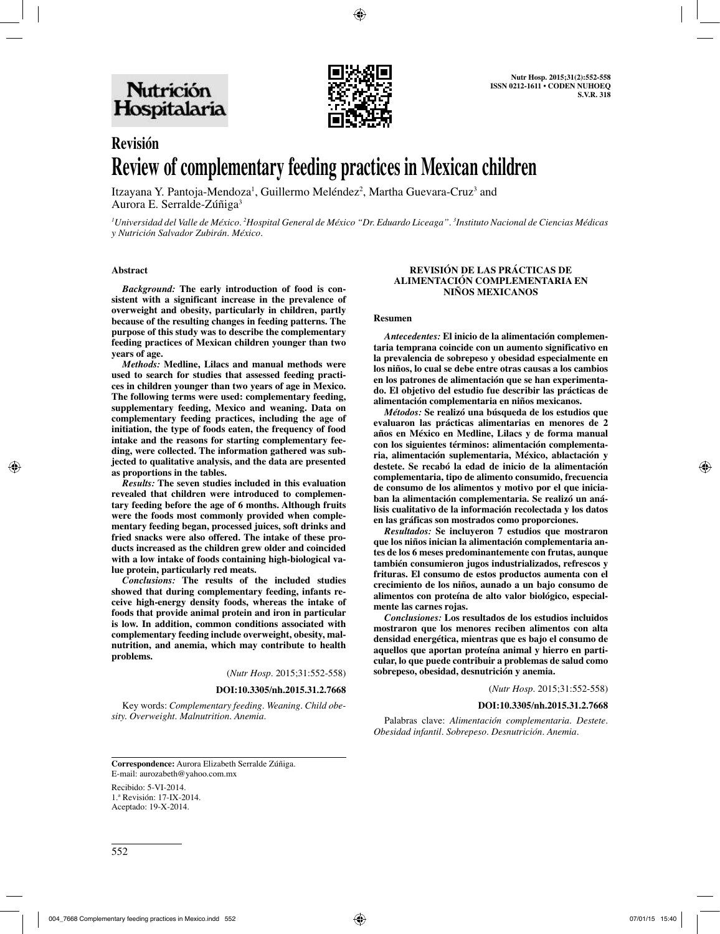

# **Revisión Review of complementary feeding practices in Mexican children**

Itzayana Y. Pantoja-Mendoza<sup>1</sup>, Guillermo Meléndez<sup>2</sup>, Martha Guevara-Cruz<sup>3</sup> and Aurora E. Serralde-Zúñiga<sup>3</sup>

*1 Universidad del Valle de México. 2 Hospital General de México "Dr. Eduardo Liceaga". 3 Instituto Nacional de Ciencias Médicas y Nutrición Salvador Zubirán. México.*

#### **Abstract**

*Background:* **The early introduction of food is consistent with a significant increase in the prevalence of overweight and obesity, particularly in children, partly because of the resulting changes in feeding patterns. The purpose of this study was to describe the complementary feeding practices of Mexican children younger than two years of age.**

*Methods:* **Medline, Lilacs and manual methods were used to search for studies that assessed feeding practices in children younger than two years of age in Mexico. The following terms were used: complementary feeding, supplementary feeding, Mexico and weaning. Data on complementary feeding practices, including the age of initiation, the type of foods eaten, the frequency of food intake and the reasons for starting complementary feeding, were collected. The information gathered was subjected to qualitative analysis, and the data are presented as proportions in the tables.**

*Results:* **The seven studies included in this evaluation revealed that children were introduced to complementary feeding before the age of 6 months. Although fruits were the foods most commonly provided when complementary feeding began, processed juices, soft drinks and fried snacks were also offered. The intake of these products increased as the children grew older and coincided with a low intake of foods containing high-biological value protein, particularly red meats.**

*Conclusions:* **The results of the included studies showed that during complementary feeding, infants receive high-energy density foods, whereas the intake of foods that provide animal protein and iron in particular is low. In addition, common conditions associated with complementary feeding include overweight, obesity, malnutrition, and anemia, which may contribute to health problems.**

(*Nutr Hosp.* 2015;31:552-558)

#### **DOI:10.3305/nh.2015.31.2.7668**

Key words: *Complementary feeding. Weaning. Child obesity. Overweight. Malnutrition. Anemia.*

#### **REVISIÓN DE LAS PRÁCTICAS DE ALIMENTACIÓN COMPLEMENTARIA EN NIÑOS MEXICANOS**

#### **Resumen**

*Antecedentes:* **El inicio de la alimentación complementaria temprana coincide con un aumento significativo en la prevalencia de sobrepeso y obesidad especialmente en los niños, lo cual se debe entre otras causas a los cambios en los patrones de alimentación que se han experimentado. El objetivo del estudio fue describir las prácticas de alimentación complementaria en niños mexicanos.**

*Métodos:* **Se realizó una búsqueda de los estudios que evaluaron las prácticas alimentarias en menores de 2 años en México en Medline, Lilacs y de forma manual con los siguientes términos: alimentación complementaria, alimentación suplementaria, México, ablactación y destete. Se recabó la edad de inicio de la alimentación complementaria, tipo de alimento consumido, frecuencia de consumo de los alimentos y motivo por el que iniciaban la alimentación complementaria. Se realizó un análisis cualitativo de la información recolectada y los datos en las gráficas son mostrados como proporciones.**

*Resultados:* **Se incluyeron 7 estudios que mostraron que los niños inician la alimentación complementaria antes de los 6 meses predominantemente con frutas, aunque también consumieron jugos industrializados, refrescos y frituras. El consumo de estos productos aumenta con el crecimiento de los niños, aunado a un bajo consumo de alimentos con proteína de alto valor biológico, especialmente las carnes rojas.**

*Conclusiones:* **Los resultados de los estudios incluidos mostraron que los menores reciben alimentos con alta densidad energética, mientras que es bajo el consumo de aquellos que aportan proteína animal y hierro en particular, lo que puede contribuir a problemas de salud como sobrepeso, obesidad, desnutrición y anemia.**

(*Nutr Hosp.* 2015;31:552-558)

#### **DOI:10.3305/nh.2015.31.2.7668**

Palabras clave: *Alimentación complementaria. Destete. Obesidad infantil. Sobrepeso. Desnutrición. Anemia.*

**Correspondence:** Aurora Elizabeth Serralde Zúñiga. E-mail: aurozabeth@yahoo.com.mx

Recibido: 5-VI-2014. 1.ª Revisión: 17-IX-2014. Aceptado: 19-X-2014.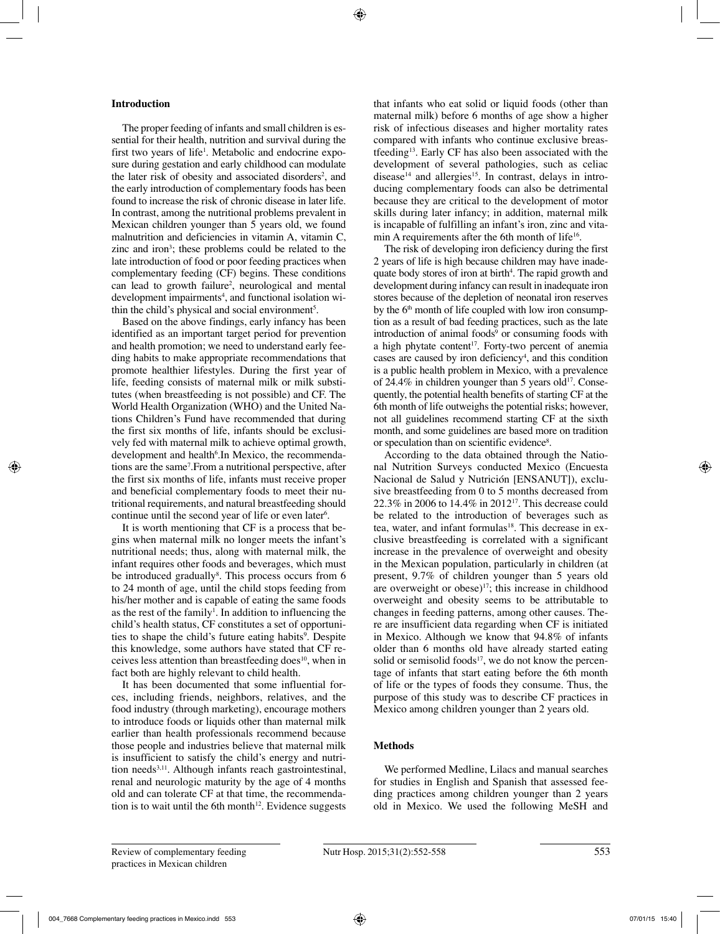## **Introduction**

The proper feeding of infants and small children is essential for their health, nutrition and survival during the first two years of life<sup>1</sup>. Metabolic and endocrine exposure during gestation and early childhood can modulate the later risk of obesity and associated disorders<sup>2</sup>, and the early introduction of complementary foods has been found to increase the risk of chronic disease in later life. In contrast, among the nutritional problems prevalent in Mexican children younger than 5 years old, we found malnutrition and deficiencies in vitamin A, vitamin C, zinc and iron<sup>3</sup>; these problems could be related to the late introduction of food or poor feeding practices when complementary feeding (CF) begins. These conditions can lead to growth failure<sup>2</sup>, neurological and mental development impairments4 , and functional isolation within the child's physical and social environment<sup>5</sup>.

Based on the above findings, early infancy has been identified as an important target period for prevention and health promotion; we need to understand early feeding habits to make appropriate recommendations that promote healthier lifestyles. During the first year of life, feeding consists of maternal milk or milk substitutes (when breastfeeding is not possible) and CF. The World Health Organization (WHO) and the United Nations Children's Fund have recommended that during the first six months of life, infants should be exclusively fed with maternal milk to achieve optimal growth, development and health<sup>6</sup>. In Mexico, the recommendations are the same7 .From a nutritional perspective, after the first six months of life, infants must receive proper and beneficial complementary foods to meet their nutritional requirements, and natural breastfeeding should continue until the second year of life or even later<sup>6</sup>.

It is worth mentioning that CF is a process that begins when maternal milk no longer meets the infant's nutritional needs; thus, along with maternal milk, the infant requires other foods and beverages, which must be introduced gradually<sup>8</sup>. This process occurs from 6 to 24 month of age, until the child stops feeding from his/her mother and is capable of eating the same foods as the rest of the family<sup>1</sup>. In addition to influencing the child's health status, CF constitutes a set of opportunities to shape the child's future eating habits<sup>9</sup>. Despite this knowledge, some authors have stated that CF receives less attention than breastfeeding does<sup>10</sup>, when in fact both are highly relevant to child health.

It has been documented that some influential forces, including friends, neighbors, relatives, and the food industry (through marketing), encourage mothers to introduce foods or liquids other than maternal milk earlier than health professionals recommend because those people and industries believe that maternal milk is insufficient to satisfy the child's energy and nutrition needs<sup>3,11</sup>. Although infants reach gastrointestinal, renal and neurologic maturity by the age of 4 months old and can tolerate CF at that time, the recommendation is to wait until the 6th month<sup>12</sup>. Evidence suggests that infants who eat solid or liquid foods (other than maternal milk) before 6 months of age show a higher risk of infectious diseases and higher mortality rates compared with infants who continue exclusive breastfeeding13. Early CF has also been associated with the development of several pathologies, such as celiac disease<sup>14</sup> and allergies<sup>15</sup>. In contrast, delays in introducing complementary foods can also be detrimental because they are critical to the development of motor skills during later infancy; in addition, maternal milk is incapable of fulfilling an infant's iron, zinc and vitamin A requirements after the 6th month of life<sup>16</sup>.

The risk of developing iron deficiency during the first 2 years of life is high because children may have inadequate body stores of iron at birth<sup>4</sup>. The rapid growth and development during infancy can result in inadequate iron stores because of the depletion of neonatal iron reserves by the  $6<sup>th</sup>$  month of life coupled with low iron consumption as a result of bad feeding practices, such as the late introduction of animal foods<sup>9</sup> or consuming foods with a high phytate content<sup>17</sup>. Forty-two percent of anemia cases are caused by iron deficiency<sup>4</sup>, and this condition is a public health problem in Mexico, with a prevalence of 24.4% in children younger than 5 years old<sup>17</sup>. Consequently, the potential health benefits of starting CF at the 6th month of life outweighs the potential risks; however, not all guidelines recommend starting CF at the sixth month, and some guidelines are based more on tradition or speculation than on scientific evidence<sup>8</sup>.

According to the data obtained through the National Nutrition Surveys conducted Mexico (Encuesta Nacional de Salud y Nutrición [ENSANUT]), exclusive breastfeeding from 0 to 5 months decreased from 22.3% in 2006 to 14.4% in 201217. This decrease could be related to the introduction of beverages such as tea, water, and infant formulas<sup>18</sup>. This decrease in exclusive breastfeeding is correlated with a significant increase in the prevalence of overweight and obesity in the Mexican population, particularly in children (at present, 9.7% of children younger than 5 years old are overweight or obese)<sup>17</sup>; this increase in childhood overweight and obesity seems to be attributable to changes in feeding patterns, among other causes. There are insufficient data regarding when CF is initiated in Mexico. Although we know that 94.8% of infants older than 6 months old have already started eating solid or semisolid foods $17$ , we do not know the percentage of infants that start eating before the 6th month of life or the types of foods they consume. Thus, the purpose of this study was to describe CF practices in Mexico among children younger than 2 years old.

## **Methods**

We performed Medline, Lilacs and manual searches for studies in English and Spanish that assessed feeding practices among children younger than 2 years old in Mexico. We used the following MeSH and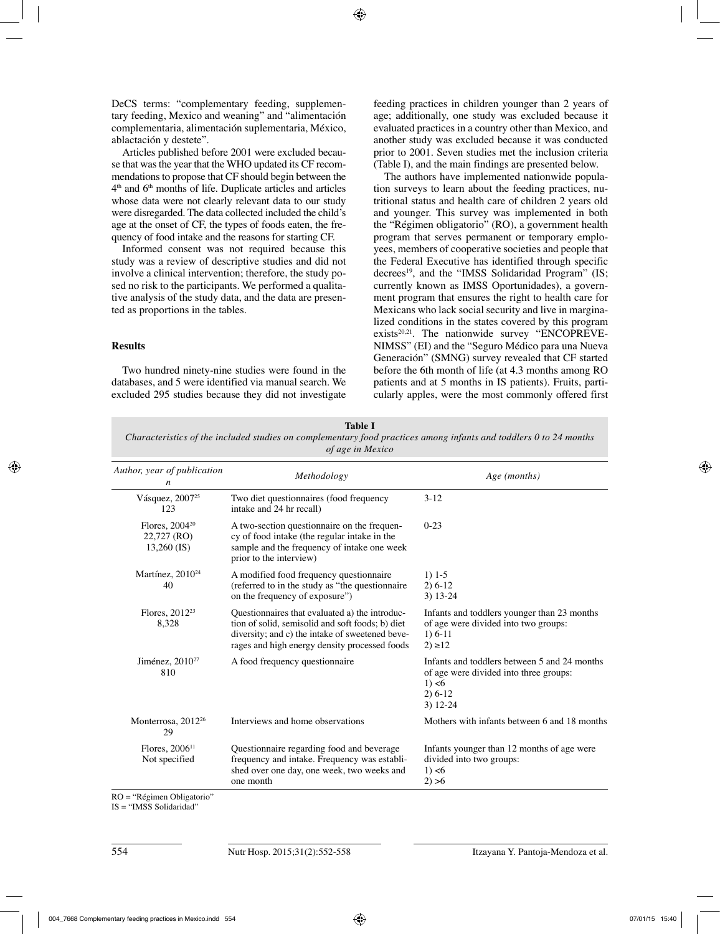DeCS terms: "complementary feeding, supplementary feeding, Mexico and weaning" and "alimentación complementaria, alimentación suplementaria, México, ablactación y destete".

Articles published before 2001 were excluded because that was the year that the WHO updated its CF recommendations to propose that CF should begin between the  $4<sup>th</sup>$  and  $6<sup>th</sup>$  months of life. Duplicate articles and articles whose data were not clearly relevant data to our study were disregarded. The data collected included the child's age at the onset of CF, the types of foods eaten, the frequency of food intake and the reasons for starting CF.

Informed consent was not required because this study was a review of descriptive studies and did not involve a clinical intervention; therefore, the study posed no risk to the participants. We performed a qualitative analysis of the study data, and the data are presented as proportions in the tables.

# **Results**

Two hundred ninety-nine studies were found in the databases, and 5 were identified via manual search. We excluded 295 studies because they did not investigate feeding practices in children younger than 2 years of age; additionally, one study was excluded because it evaluated practices in a country other than Mexico, and another study was excluded because it was conducted prior to 2001. Seven studies met the inclusion criteria (Table I), and the main findings are presented below.

The authors have implemented nationwide population surveys to learn about the feeding practices, nutritional status and health care of children 2 years old and younger. This survey was implemented in both the "Régimen obligatorio" (RO), a government health program that serves permanent or temporary employees, members of cooperative societies and people that the Federal Executive has identified through specific decrees<sup>19</sup>, and the "IMSS Solidaridad Program" (IS; currently known as IMSS Oportunidades), a government program that ensures the right to health care for Mexicans who lack social security and live in marginalized conditions in the states covered by this program exists<sup>20,21</sup>. The nationwide survey "ENCOPREVE-NIMSS" (EI) and the "Seguro Médico para una Nueva Generación" (SMNG) survey revealed that CF started before the 6th month of life (at 4.3 months among RO patients and at 5 months in IS patients). Fruits, particularly apples, were the most commonly offered first

| of age in Mexico                                    |                                                                                                                                                                                                        |                                                                                                                             |  |  |  |  |
|-----------------------------------------------------|--------------------------------------------------------------------------------------------------------------------------------------------------------------------------------------------------------|-----------------------------------------------------------------------------------------------------------------------------|--|--|--|--|
| Author, year of publication<br>n                    | Methodology                                                                                                                                                                                            | Age (months)                                                                                                                |  |  |  |  |
| Vásquez, 2007 <sup>25</sup><br>123                  | Two diet questionnaires (food frequency<br>intake and 24 hr recall)                                                                                                                                    | $3-12$                                                                                                                      |  |  |  |  |
| Flores, $2004^{20}$<br>22,727 (RO)<br>$13,260$ (IS) | A two-section questionnaire on the frequen-<br>cy of food intake (the regular intake in the<br>sample and the frequency of intake one week<br>prior to the interview)                                  | $0 - 23$                                                                                                                    |  |  |  |  |
| Martínez, 2010 <sup>24</sup><br>40                  | A modified food frequency questionnaire<br>(referred to in the study as "the questionnaire")<br>on the frequency of exposure")                                                                         | $1) 1-5$<br>$2) 6-12$<br>$3) 13 - 24$                                                                                       |  |  |  |  |
| Flores, 2012 <sup>23</sup><br>8,328                 | Ouestionnaires that evaluated a) the introduc-<br>tion of solid, semisolid and soft foods; b) diet<br>diversity; and c) the intake of sweetened beve-<br>rages and high energy density processed foods | Infants and toddlers younger than 23 months<br>of age were divided into two groups:<br>$1) 6-11$<br>$2) \ge 12$             |  |  |  |  |
| Jiménez, 2010 <sup>27</sup><br>810                  | A food frequency questionnaire                                                                                                                                                                         | Infants and toddlers between 5 and 24 months<br>of age were divided into three groups:<br>1) < 6<br>$2) 6-12$<br>$3)$ 12-24 |  |  |  |  |
| Monterrosa, 2012 <sup>26</sup><br>29                | Interviews and home observations                                                                                                                                                                       | Mothers with infants between 6 and 18 months                                                                                |  |  |  |  |
| Flores, $200611$<br>Not specified                   | Questionnaire regarding food and beverage<br>frequency and intake. Frequency was establi-<br>shed over one day, one week, two weeks and<br>one month                                                   | Infants younger than 12 months of age were<br>divided into two groups:<br>1) < 6<br>2) > 6                                  |  |  |  |  |

**Table I** *Characteristics of the included studies on complementary food practices among infants and toddlers 0 to 24 months* 

RO = "Régimen Obligatorio"

IS = "IMSS Solidaridad"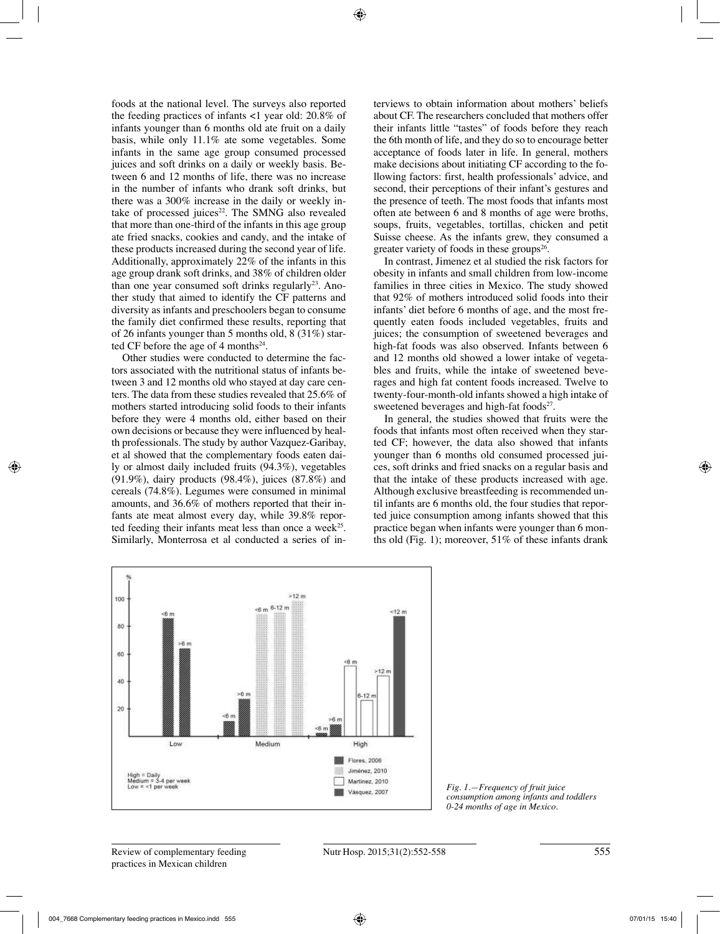foods at the national level. The surveys also reported the feeding practices of infants <1 year old: 20.8% of infants younger than 6 months old ate fruit on a daily basis, while only 11.1% ate some vegetables. Some infants in the same age group consumed processed juices and soft drinks on a daily or weekly basis. Between 6 and 12 months of life, there was no increase in the number of infants who drank soft drinks, but there was a 300% increase in the daily or weekly intake of processed juices $22$ . The SMNG also revealed that more than one-third of the infants in this age group ate fried snacks, cookies and candy, and the intake of these products increased during the second year of life. Additionally, approximately 22% of the infants in this age group drank soft drinks, and 38% of children older than one year consumed soft drinks regularly<sup>23</sup>. Another study that aimed to identify the CF patterns and diversity as infants and preschoolers began to consume the family diet confirmed these results, reporting that of 26 infants younger than 5 months old, 8 (31%) started CF before the age of 4 months<sup>24</sup>.

Other studies were conducted to determine the factors associated with the nutritional status of infants between 3 and 12 months old who stayed at day care centers. The data from these studies revealed that 25.6% of mothers started introducing solid foods to their infants before they were 4 months old, either based on their own decisions or because they were influenced by health professionals. The study by author Vazquez-Garibay, et al showed that the complementary foods eaten daily or almost daily included fruits (94.3%), vegetables (91.9%), dairy products (98.4%), juices (87.8%) and cereals (74.8%). Legumes were consumed in minimal amounts, and 36.6% of mothers reported that their infants ate meat almost every day, while 39.8% reported feeding their infants meat less than once a week<sup>25</sup>. Similarly, Monterrosa et al conducted a series of interviews to obtain information about mothers' beliefs about CF. The researchers concluded that mothers offer their infants little "tastes" of foods before they reach the 6th month of life, and they do so to encourage better acceptance of foods later in life. In general, mothers make decisions about initiating CF according to the following factors: first, health professionals' advice, and second, their perceptions of their infant's gestures and the presence of teeth. The most foods that infants most often ate between 6 and 8 months of age were broths, soups, fruits, vegetables, tortillas, chicken and petit Suisse cheese. As the infants grew, they consumed a greater variety of foods in these groups $26$ .

In contrast, Jimenez et al studied the risk factors for obesity in infants and small children from low-income families in three cities in Mexico. The study showed that 92% of mothers introduced solid foods into their infants' diet before 6 months of age, and the most frequently eaten foods included vegetables, fruits and juices; the consumption of sweetened beverages and high-fat foods was also observed. Infants between 6 and 12 months old showed a lower intake of vegetables and fruits, while the intake of sweetened beverages and high fat content foods increased. Twelve to twenty-four-month-old infants showed a high intake of sweetened beverages and high-fat foods $27$ .

In general, the studies showed that fruits were the foods that infants most often received when they started CF; however, the data also showed that infants younger than 6 months old consumed processed juices, soft drinks and fried snacks on a regular basis and that the intake of these products increased with age. Although exclusive breastfeeding is recommended until infants are 6 months old, the four studies that reported juice consumption among infants showed that this practice began when infants were younger than 6 months old (Fig. 1); moreover,  $51\%$  of these infants drank



*Fig. 1.—Frequency of fruit juice consumption among infants and toddlers 0-24 months of age in Mexico.*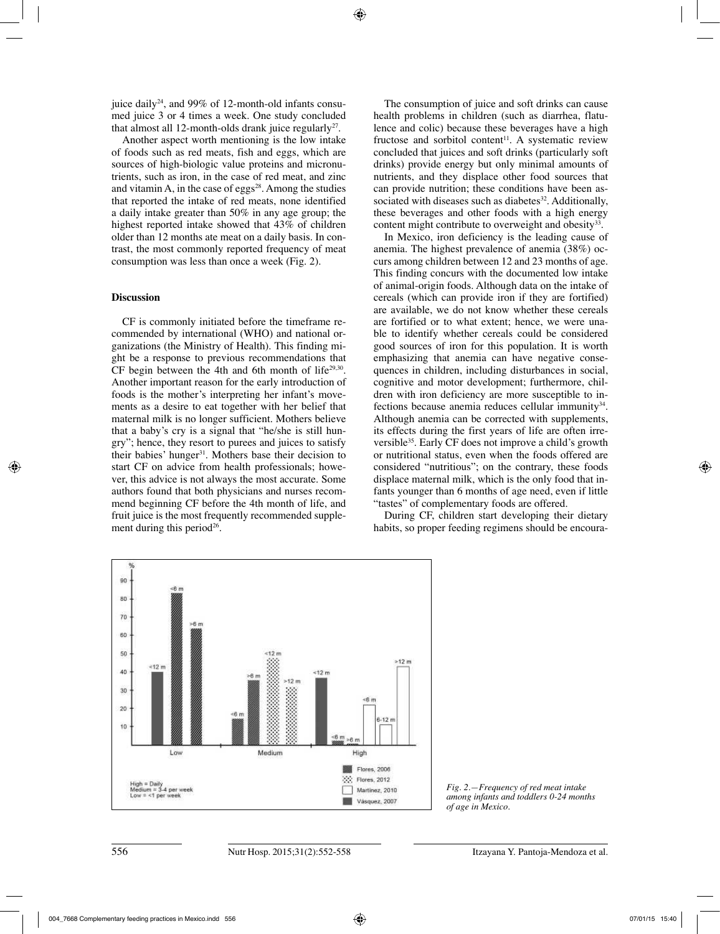juice daily<sup>24</sup>, and 99% of 12-month-old infants consumed juice 3 or 4 times a week. One study concluded that almost all 12-month-olds drank juice regularly<sup>27</sup>.

Another aspect worth mentioning is the low intake of foods such as red meats, fish and eggs, which are sources of high-biologic value proteins and micronutrients, such as iron, in the case of red meat, and zinc and vitamin A, in the case of eggs<sup>28</sup>. Among the studies that reported the intake of red meats, none identified a daily intake greater than 50% in any age group; the highest reported intake showed that 43% of children older than 12 months ate meat on a daily basis. In contrast, the most commonly reported frequency of meat consumption was less than once a week (Fig. 2).

# **Discussion**

CF is commonly initiated before the timeframe recommended by international (WHO) and national organizations (the Ministry of Health). This finding might be a response to previous recommendations that CF begin between the 4th and 6th month of life $29,30$ . Another important reason for the early introduction of foods is the mother's interpreting her infant's movements as a desire to eat together with her belief that maternal milk is no longer sufficient. Mothers believe that a baby's cry is a signal that "he/she is still hungry"; hence, they resort to purees and juices to satisfy their babies' hunger<sup>31</sup>. Mothers base their decision to start CF on advice from health professionals; however, this advice is not always the most accurate. Some authors found that both physicians and nurses recommend beginning CF before the 4th month of life, and fruit juice is the most frequently recommended supplement during this period<sup>26</sup>.

The consumption of juice and soft drinks can cause health problems in children (such as diarrhea, flatulence and colic) because these beverages have a high fructose and sorbitol content<sup>11</sup>. A systematic review concluded that juices and soft drinks (particularly soft drinks) provide energy but only minimal amounts of nutrients, and they displace other food sources that can provide nutrition; these conditions have been associated with diseases such as diabetes<sup>32</sup>. Additionally, these beverages and other foods with a high energy content might contribute to overweight and obesity<sup>33</sup>.

In Mexico, iron deficiency is the leading cause of anemia. The highest prevalence of anemia (38%) occurs among children between 12 and 23 months of age. This finding concurs with the documented low intake of animal-origin foods. Although data on the intake of cereals (which can provide iron if they are fortified) are available, we do not know whether these cereals are fortified or to what extent; hence, we were unable to identify whether cereals could be considered good sources of iron for this population. It is worth emphasizing that anemia can have negative consequences in children, including disturbances in social, cognitive and motor development; furthermore, children with iron deficiency are more susceptible to infections because anemia reduces cellular immunity<sup>34</sup>. Although anemia can be corrected with supplements, its effects during the first years of life are often irreversible35. Early CF does not improve a child's growth or nutritional status, even when the foods offered are considered "nutritious"; on the contrary, these foods displace maternal milk, which is the only food that infants younger than 6 months of age need, even if little "tastes" of complementary foods are offered.

During CF, children start developing their dietary habits, so proper feeding regimens should be encoura-



*Fig. 2.—Frequency of red meat intake among infants and toddlers 0-24 months of age in Mexico.*

**Figure 2.** Frequency of red meat intake among infants and toddlers 0-24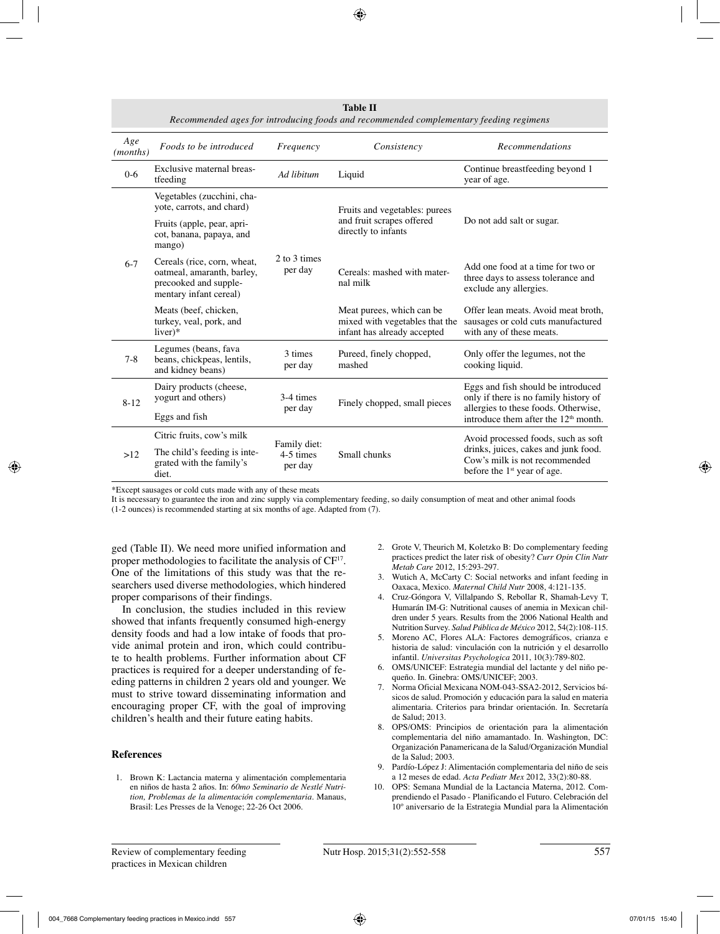| Recommended ages for introducing foods and recommended complementary feeding regimens |                                                                                                              |                         |                                                                                             |                                                                                                                                               |  |
|---------------------------------------------------------------------------------------|--------------------------------------------------------------------------------------------------------------|-------------------------|---------------------------------------------------------------------------------------------|-----------------------------------------------------------------------------------------------------------------------------------------------|--|
| Age<br>( <i>months</i> )                                                              | Foods to be introduced                                                                                       | Frequency               | Consistency                                                                                 | <b>Recommendations</b>                                                                                                                        |  |
| $0 - 6$                                                                               | Exclusive maternal breas-<br>tfeeding                                                                        | Ad libitum              | Liquid                                                                                      | Continue breastfeeding beyond 1<br>year of age.                                                                                               |  |
| $6 - 7$                                                                               | Vegetables (zucchini, cha-<br>yote, carrots, and chard)                                                      |                         | Fruits and vegetables: purees<br>and fruit scrapes offered<br>directly to infants           | Do not add salt or sugar.                                                                                                                     |  |
|                                                                                       | Fruits (apple, pear, apri-<br>cot, banana, papaya, and<br>mango)                                             |                         |                                                                                             |                                                                                                                                               |  |
|                                                                                       | Cereals (rice, corn, wheat,<br>oatmeal, amaranth, barley,<br>precooked and supple-<br>mentary infant cereal) | 2 to 3 times<br>per day | Cereals: mashed with mater-<br>nal milk                                                     | Add one food at a time for two or<br>three days to assess tolerance and<br>exclude any allergies.                                             |  |
|                                                                                       | Meats (beef, chicken,<br>turkey, veal, pork, and<br>$liver)*$                                                |                         | Meat purees, which can be.<br>mixed with vegetables that the<br>infant has already accepted | Offer lean meats. Avoid meat broth,<br>sausages or cold cuts manufactured<br>with any of these meats.                                         |  |
| $7 - 8$                                                                               | Legumes (beans, fava<br>beans, chickpeas, lentils,<br>and kidney beans)                                      | 3 times<br>per day      | Pureed, finely chopped,<br>mashed                                                           | Only offer the legumes, not the<br>cooking liquid.                                                                                            |  |
| $8 - 12$                                                                              | Dairy products (cheese,<br>yogurt and others)                                                                | 3-4 times               | Finely chopped, small pieces                                                                | Eggs and fish should be introduced<br>only if there is no family history of                                                                   |  |
|                                                                                       | per day<br>Eggs and fish                                                                                     |                         |                                                                                             | allergies to these foods. Otherwise,<br>introduce them after the 12 <sup>th</sup> month.                                                      |  |
| >12                                                                                   | Citric fruits, cow's milk                                                                                    | Family diet:            | Small chunks                                                                                | Avoid processed foods, such as soft<br>drinks, juices, cakes and junk food.<br>Cow's milk is not recommended<br>before the $1st$ year of age. |  |
|                                                                                       | The child's feeding is inte-<br>grated with the family's<br>diet.                                            | 4-5 times<br>per day    |                                                                                             |                                                                                                                                               |  |

**Table II**

\*Except sausages or cold cuts made with any of these meats

It is necessary to guarantee the iron and zinc supply via complementary feeding, so daily consumption of meat and other animal foods

(1-2 ounces) is recommended starting at six months of age. Adapted from (7).

ged (Table II). We need more unified information and proper methodologies to facilitate the analysis of CF<sup>17</sup>. One of the limitations of this study was that the researchers used diverse methodologies, which hindered proper comparisons of their findings.

In conclusion, the studies included in this review showed that infants frequently consumed high-energy density foods and had a low intake of foods that provide animal protein and iron, which could contribute to health problems. Further information about CF practices is required for a deeper understanding of feeding patterns in children 2 years old and younger. We must to strive toward disseminating information and encouraging proper CF, with the goal of improving children's health and their future eating habits.

## **References**

1. Brown K: Lactancia materna y alimentación complementaria en niños de hasta 2 años. In: *60mo Seminario de Nestlé Nutrition, Problemas de la alimentación complementaria.* Manaus, Brasil: Les Presses de la Venoge; 22-26 Oct 2006.

- 2. Grote V, Theurich M, Koletzko B: Do complementary feeding practices predict the later risk of obesity? *Curr Opin Clin Nutr Metab Care* 2012, 15:293-297.
- 3. Wutich A, McCarty C: Social networks and infant feeding in Oaxaca, Mexico. *Maternal Child Nutr* 2008, 4:121-135.
- 4. Cruz-Góngora V, Villalpando S, Rebollar R, Shamah-Levy T, Humarán IM-G: Nutritional causes of anemia in Mexican children under 5 years. Results from the 2006 National Health and Nutrition Survey. *Salud Pública de México* 2012, 54(2):108-115.
- 5. Moreno AC, Flores ALA: Factores demográficos, crianza e historia de salud: vinculación con la nutrición y el desarrollo infantil. *Universitas Psychologica* 2011, 10(3):789-802.
- 6. OMS/UNICEF: Estrategia mundial del lactante y del niño pequeño. In. Ginebra: OMS/UNICEF; 2003.
- 7. Norma Oficial Mexicana NOM-043-SSA2-2012, Servicios básicos de salud. Promoción y educación para la salud en materia alimentaria. Criterios para brindar orientación. In. Secretaría de Salud; 2013.
- 8. OPS/OMS: Principios de orientación para la alimentación complementaria del niño amamantado. In. Washington, DC: Organización Panamericana de la Salud/Organización Mundial de la Salud; 2003.
- 9. Pardío-López J: Alimentación complementaria del niño de seis a 12 meses de edad. *Acta Pediatr Mex* 2012, 33(2):80-88.
- 10. OPS: Semana Mundial de la Lactancia Materna, 2012. Comprendiendo el Pasado - Planificando el Futuro. Celebración del 10º aniversario de la Estrategia Mundial para la Alimentación